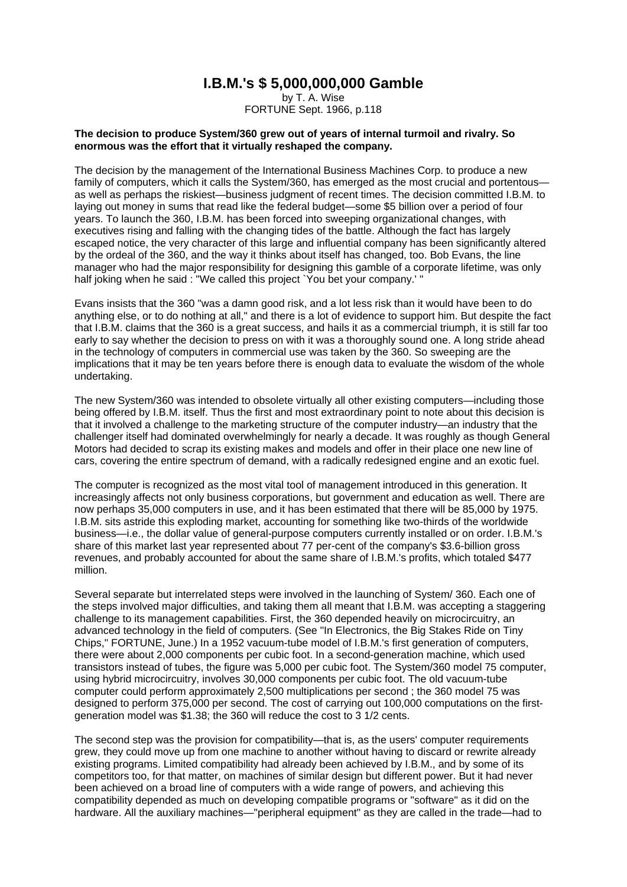# **I.B.M.'s \$ 5,000,000,000 Gamble**

by T. A. Wise FORTUNE Sept. 1966, p.118

#### **The decision to produce System/360 grew out of years of internal turmoil and rivalry. So enormous was the effort that it virtually reshaped the company.**

The decision by the management of the International Business Machines Corp. to produce a new family of computers, which it calls the System/360, has emerged as the most crucial and portentous as well as perhaps the riskiest—business judgment of recent times. The decision committed I.B.M. to laying out money in sums that read like the federal budget—some \$5 billion over a period of four years. To launch the 360, I.B.M. has been forced into sweeping organizational changes, with executives rising and falling with the changing tides of the battle. Although the fact has largely escaped notice, the very character of this large and influential company has been significantly altered by the ordeal of the 360, and the way it thinks about itself has changed, too. Bob Evans, the line manager who had the major responsibility for designing this gamble of a corporate lifetime, was only half joking when he said : "We called this project `You bet your company.' "

Evans insists that the 360 "was a damn good risk, and a lot less risk than it would have been to do anything else, or to do nothing at all," and there is a lot of evidence to support him. But despite the fact that I.B.M. claims that the 360 is a great success, and hails it as a commercial triumph, it is still far too early to say whether the decision to press on with it was a thoroughly sound one. A long stride ahead in the technology of computers in commercial use was taken by the 360. So sweeping are the implications that it may be ten years before there is enough data to evaluate the wisdom of the whole undertaking.

The new System/360 was intended to obsolete virtually all other existing computers—including those being offered by I.B.M. itself. Thus the first and most extraordinary point to note about this decision is that it involved a challenge to the marketing structure of the computer industry—an industry that the challenger itself had dominated overwhelmingly for nearly a decade. It was roughly as though General Motors had decided to scrap its existing makes and models and offer in their place one new line of cars, covering the entire spectrum of demand, with a radically redesigned engine and an exotic fuel.

The computer is recognized as the most vital tool of management introduced in this generation. It increasingly affects not only business corporations, but government and education as well. There are now perhaps 35,000 computers in use, and it has been estimated that there will be 85,000 by 1975. I.B.M. sits astride this exploding market, accounting for something like two-thirds of the worldwide business—i.e., the dollar value of general-purpose computers currently installed or on order. I.B.M.'s share of this market last year represented about 77 per-cent of the company's \$3.6-billion gross revenues, and probably accounted for about the same share of I.B.M.'s profits, which totaled \$477 million.

Several separate but interrelated steps were involved in the launching of System/ 360. Each one of the steps involved major difficulties, and taking them all meant that I.B.M. was accepting a staggering challenge to its management capabilities. First, the 360 depended heavily on microcircuitry, an advanced technology in the field of computers. (See "In Electronics, the Big Stakes Ride on Tiny Chips," FORTUNE, June.) In a 1952 vacuum-tube model of I.B.M.'s first generation of computers, there were about 2,000 components per cubic foot. In a second-generation machine, which used transistors instead of tubes, the figure was 5,000 per cubic foot. The System/360 model 75 computer, using hybrid microcircuitry, involves 30,000 components per cubic foot. The old vacuum-tube computer could perform approximately 2,500 multiplications per second ; the 360 model 75 was designed to perform 375,000 per second. The cost of carrying out 100,000 computations on the firstgeneration model was \$1.38; the 360 will reduce the cost to 3 1/2 cents.

The second step was the provision for compatibility—that is, as the users' computer requirements grew, they could move up from one machine to another without having to discard or rewrite already existing programs. Limited compatibility had already been achieved by I.B.M., and by some of its competitors too, for that matter, on machines of similar design but different power. But it had never been achieved on a broad line of computers with a wide range of powers, and achieving this compatibility depended as much on developing compatible programs or "software" as it did on the hardware. All the auxiliary machines—"peripheral equipment" as they are called in the trade—had to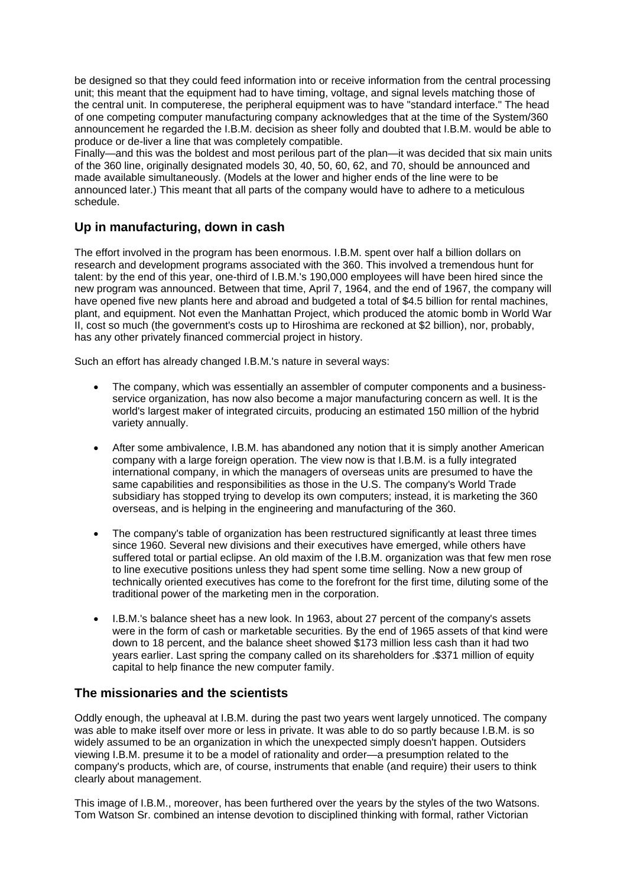be designed so that they could feed information into or receive information from the central processing unit; this meant that the equipment had to have timing, voltage, and signal levels matching those of the central unit. In computerese, the peripheral equipment was to have "standard interface." The head of one competing computer manufacturing company acknowledges that at the time of the System/360 announcement he regarded the I.B.M. decision as sheer folly and doubted that I.B.M. would be able to produce or de-liver a line that was completely compatible.

Finally—and this was the boldest and most perilous part of the plan—it was decided that six main units of the 360 line, originally designated models 30, 40, 50, 60, 62, and 70, should be announced and made available simultaneously. (Models at the lower and higher ends of the line were to be announced later.) This meant that all parts of the company would have to adhere to a meticulous schedule.

## **Up in manufacturing, down in cash**

The effort involved in the program has been enormous. I.B.M. spent over half a billion dollars on research and development programs associated with the 360. This involved a tremendous hunt for talent: by the end of this year, one-third of I.B.M.'s 190,000 employees will have been hired since the new program was announced. Between that time, April 7, 1964, and the end of 1967, the company will have opened five new plants here and abroad and budgeted a total of \$4.5 billion for rental machines, plant, and equipment. Not even the Manhattan Project, which produced the atomic bomb in World War II, cost so much (the government's costs up to Hiroshima are reckoned at \$2 billion), nor, probably, has any other privately financed commercial project in history.

Such an effort has already changed I.B.M.'s nature in several ways:

- The company, which was essentially an assembler of computer components and a businessservice organization, has now also become a major manufacturing concern as well. It is the world's largest maker of integrated circuits, producing an estimated 150 million of the hybrid variety annually.
- After some ambivalence, I.B.M. has abandoned any notion that it is simply another American company with a large foreign operation. The view now is that I.B.M. is a fully integrated international company, in which the managers of overseas units are presumed to have the same capabilities and responsibilities as those in the U.S. The company's World Trade subsidiary has stopped trying to develop its own computers; instead, it is marketing the 360 overseas, and is helping in the engineering and manufacturing of the 360.
- The company's table of organization has been restructured significantly at least three times since 1960. Several new divisions and their executives have emerged, while others have suffered total or partial eclipse. An old maxim of the I.B.M. organization was that few men rose to line executive positions unless they had spent some time selling. Now a new group of technically oriented executives has come to the forefront for the first time, diluting some of the traditional power of the marketing men in the corporation.
- I.B.M.'s balance sheet has a new look. In 1963, about 27 percent of the company's assets were in the form of cash or marketable securities. By the end of 1965 assets of that kind were down to 18 percent, and the balance sheet showed \$173 million less cash than it had two years earlier. Last spring the company called on its shareholders for .\$371 million of equity capital to help finance the new computer family.

## **The missionaries and the scientists**

Oddly enough, the upheaval at I.B.M. during the past two years went largely unnoticed. The company was able to make itself over more or less in private. It was able to do so partly because I.B.M. is so widely assumed to be an organization in which the unexpected simply doesn't happen. Outsiders viewing I.B.M. presume it to be a model of rationality and order—a presumption related to the company's products, which are, of course, instruments that enable (and require) their users to think clearly about management.

This image of I.B.M., moreover, has been furthered over the years by the styles of the two Watsons. Tom Watson Sr. combined an intense devotion to disciplined thinking with formal, rather Victorian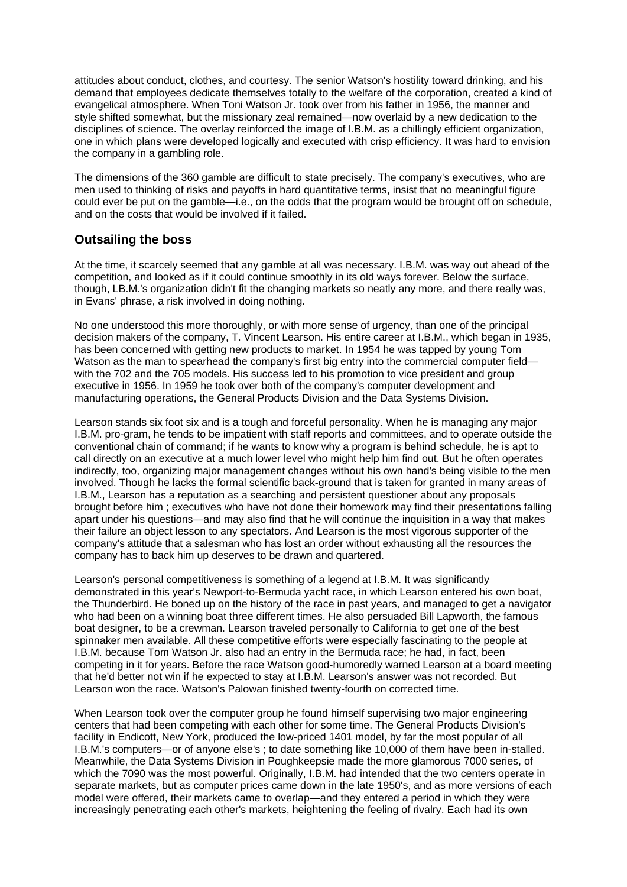attitudes about conduct, clothes, and courtesy. The senior Watson's hostility toward drinking, and his demand that employees dedicate themselves totally to the welfare of the corporation, created a kind of evangelical atmosphere. When Toni Watson Jr. took over from his father in 1956, the manner and style shifted somewhat, but the missionary zeal remained—now overlaid by a new dedication to the disciplines of science. The overlay reinforced the image of I.B.M. as a chillingly efficient organization, one in which plans were developed logically and executed with crisp efficiency. It was hard to envision the company in a gambling role.

The dimensions of the 360 gamble are difficult to state precisely. The company's executives, who are men used to thinking of risks and payoffs in hard quantitative terms, insist that no meaningful figure could ever be put on the gamble—i.e., on the odds that the program would be brought off on schedule, and on the costs that would be involved if it failed.

#### **Outsailing the boss**

At the time, it scarcely seemed that any gamble at all was necessary. I.B.M. was way out ahead of the competition, and looked as if it could continue smoothly in its old ways forever. Below the surface, though, LB.M.'s organization didn't fit the changing markets so neatly any more, and there really was, in Evans' phrase, a risk involved in doing nothing.

No one understood this more thoroughly, or with more sense of urgency, than one of the principal decision makers of the company, T. Vincent Learson. His entire career at I.B.M., which began in 1935, has been concerned with getting new products to market. In 1954 he was tapped by young Tom Watson as the man to spearhead the company's first big entry into the commercial computer field with the 702 and the 705 models. His success led to his promotion to vice president and group executive in 1956. In 1959 he took over both of the company's computer development and manufacturing operations, the General Products Division and the Data Systems Division.

Learson stands six foot six and is a tough and forceful personality. When he is managing any major I.B.M. pro-gram, he tends to be impatient with staff reports and committees, and to operate outside the conventional chain of command; if he wants to know why a program is behind schedule, he is apt to call directly on an executive at a much lower level who might help him find out. But he often operates indirectly, too, organizing major management changes without his own hand's being visible to the men involved. Though he lacks the formal scientific back-ground that is taken for granted in many areas of I.B.M., Learson has a reputation as a searching and persistent questioner about any proposals brought before him ; executives who have not done their homework may find their presentations falling apart under his questions—and may also find that he will continue the inquisition in a way that makes their failure an object lesson to any spectators. And Learson is the most vigorous supporter of the company's attitude that a salesman who has lost an order without exhausting all the resources the company has to back him up deserves to be drawn and quartered.

Learson's personal competitiveness is something of a legend at I.B.M. It was significantly demonstrated in this year's Newport-to-Bermuda yacht race, in which Learson entered his own boat, the Thunderbird. He boned up on the history of the race in past years, and managed to get a navigator who had been on a winning boat three different times. He also persuaded Bill Lapworth, the famous boat designer, to be a crewman. Learson traveled personally to California to get one of the best spinnaker men available. All these competitive efforts were especially fascinating to the people at I.B.M. because Tom Watson Jr. also had an entry in the Bermuda race; he had, in fact, been competing in it for years. Before the race Watson good-humoredly warned Learson at a board meeting that he'd better not win if he expected to stay at I.B.M. Learson's answer was not recorded. But Learson won the race. Watson's Palowan finished twenty-fourth on corrected time.

When Learson took over the computer group he found himself supervising two major engineering centers that had been competing with each other for some time. The General Products Division's facility in Endicott, New York, produced the low-priced 1401 model, by far the most popular of all I.B.M.'s computers—or of anyone else's ; to date something like 10,000 of them have been in-stalled. Meanwhile, the Data Systems Division in Poughkeepsie made the more glamorous 7000 series, of which the 7090 was the most powerful. Originally, I.B.M. had intended that the two centers operate in separate markets, but as computer prices came down in the late 1950's, and as more versions of each model were offered, their markets came to overlap—and they entered a period in which they were increasingly penetrating each other's markets, heightening the feeling of rivalry. Each had its own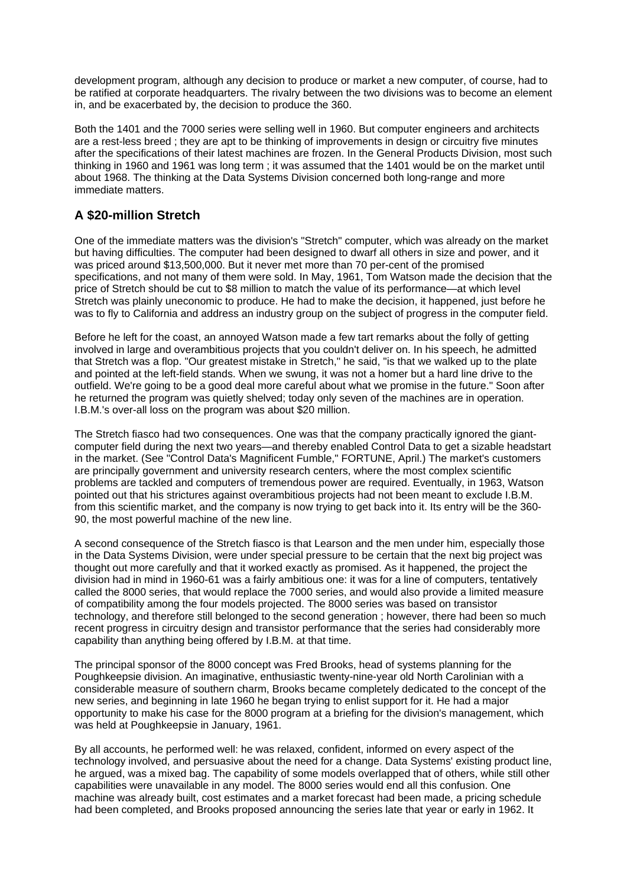development program, although any decision to produce or market a new computer, of course, had to be ratified at corporate headquarters. The rivalry between the two divisions was to become an element in, and be exacerbated by, the decision to produce the 360.

Both the 1401 and the 7000 series were selling well in 1960. But computer engineers and architects are a rest-less breed ; they are apt to be thinking of improvements in design or circuitry five minutes after the specifications of their latest machines are frozen. In the General Products Division, most such thinking in 1960 and 1961 was long term ; it was assumed that the 1401 would be on the market until about 1968. The thinking at the Data Systems Division concerned both long-range and more immediate matters.

## **A \$20-million Stretch**

One of the immediate matters was the division's "Stretch" computer, which was already on the market but having difficulties. The computer had been designed to dwarf all others in size and power, and it was priced around \$13,500,000. But it never met more than 70 per-cent of the promised specifications, and not many of them were sold. In May, 1961, Tom Watson made the decision that the price of Stretch should be cut to \$8 million to match the value of its performance—at which level Stretch was plainly uneconomic to produce. He had to make the decision, it happened, just before he was to fly to California and address an industry group on the subject of progress in the computer field.

Before he left for the coast, an annoyed Watson made a few tart remarks about the folly of getting involved in large and overambitious projects that you couldn't deliver on. In his speech, he admitted that Stretch was a flop. "Our greatest mistake in Stretch," he said, "is that we walked up to the plate and pointed at the left-field stands. When we swung, it was not a homer but a hard line drive to the outfield. We're going to be a good deal more careful about what we promise in the future." Soon after he returned the program was quietly shelved; today only seven of the machines are in operation. I.B.M.'s over-all loss on the program was about \$20 million.

The Stretch fiasco had two consequences. One was that the company practically ignored the giantcomputer field during the next two years—and thereby enabled Control Data to get a sizable headstart in the market. (See "Control Data's Magnificent Fumble," FORTUNE, April.) The market's customers are principally government and university research centers, where the most complex scientific problems are tackled and computers of tremendous power are required. Eventually, in 1963, Watson pointed out that his strictures against overambitious projects had not been meant to exclude I.B.M. from this scientific market, and the company is now trying to get back into it. Its entry will be the 360- 90, the most powerful machine of the new line.

A second consequence of the Stretch fiasco is that Learson and the men under him, especially those in the Data Systems Division, were under special pressure to be certain that the next big project was thought out more carefully and that it worked exactly as promised. As it happened, the project the division had in mind in 1960-61 was a fairly ambitious one: it was for a line of computers, tentatively called the 8000 series, that would replace the 7000 series, and would also provide a limited measure of compatibility among the four models projected. The 8000 series was based on transistor technology, and therefore still belonged to the second generation ; however, there had been so much recent progress in circuitry design and transistor performance that the series had considerably more capability than anything being offered by I.B.M. at that time.

The principal sponsor of the 8000 concept was Fred Brooks, head of systems planning for the Poughkeepsie division. An imaginative, enthusiastic twenty-nine-year old North Carolinian with a considerable measure of southern charm, Brooks became completely dedicated to the concept of the new series, and beginning in late 1960 he began trying to enlist support for it. He had a major opportunity to make his case for the 8000 program at a briefing for the division's management, which was held at Poughkeepsie in January, 1961.

By all accounts, he performed well: he was relaxed, confident, informed on every aspect of the technology involved, and persuasive about the need for a change. Data Systems' existing product line, he argued, was a mixed bag. The capability of some models overlapped that of others, while still other capabilities were unavailable in any model. The 8000 series would end all this confusion. One machine was already built, cost estimates and a market forecast had been made, a pricing schedule had been completed, and Brooks proposed announcing the series late that year or early in 1962. It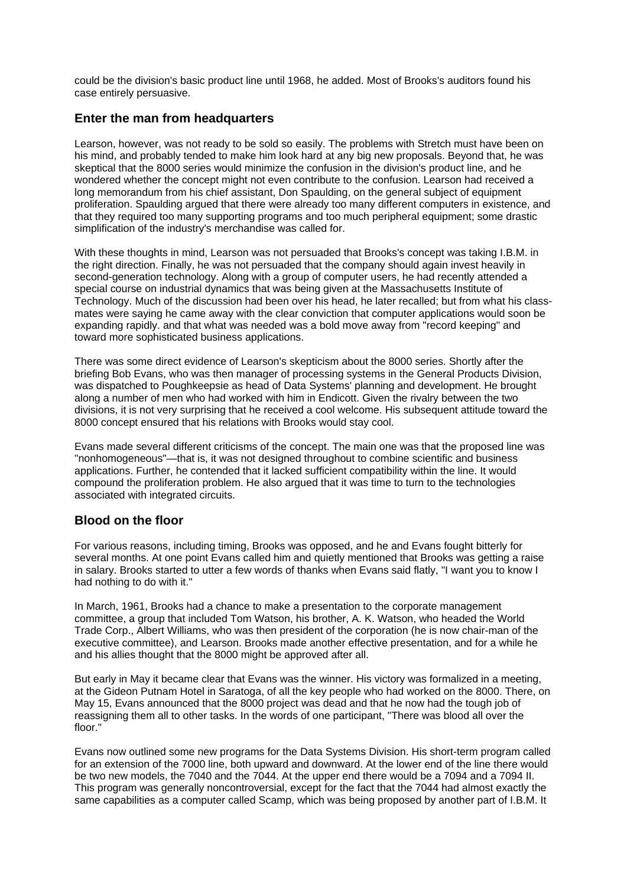could be the division's basic product line until 1968, he added. Most of Brooks's auditors found his case entirely persuasive.

#### **Enter the man from headquarters**

Learson, however, was not ready to be sold so easily. The problems with Stretch must have been on his mind, and probably tended to make him look hard at any big new proposals. Beyond that, he was skeptical that the 8000 series would minimize the confusion in the division's product line, and he wondered whether the concept might not even contribute to the confusion. Learson had received a long memorandum from his chief assistant, Don Spaulding, on the general subject of equipment proliferation. Spaulding argued that there were already too many different computers in existence, and that they required too many supporting programs and too much peripheral equipment; some drastic simplification of the industry's merchandise was called for.

With these thoughts in mind, Learson was not persuaded that Brooks's concept was taking I.B.M. in the right direction. Finally, he was not persuaded that the company should again invest heavily in second-generation technology. Along with a group of computer users, he had recently attended a special course on industrial dynamics that was being given at the Massachusetts Institute of Technology. Much of the discussion had been over his head, he later recalled; but from what his classmates were saying he came away with the clear conviction that computer applications would soon be expanding rapidly. and that what was needed was a bold move away from "record keeping" and toward more sophisticated business applications.

There was some direct evidence of Learson's skepticism about the 8000 series. Shortly after the briefing Bob Evans, who was then manager of processing systems in the General Products Division, was dispatched to Poughkeepsie as head of Data Systems' planning and development. He brought along a number of men who had worked with him in Endicott. Given the rivalry between the two divisions, it is not very surprising that he received a cool welcome. His subsequent attitude toward the 8000 concept ensured that his relations with Brooks would stay cool.

Evans made several different criticisms of the concept. The main one was that the proposed line was "nonhomogeneous"—that is, it was not designed throughout to combine scientific and business applications. Further, he contended that it lacked sufficient compatibility within the line. It would compound the proliferation problem. He also argued that it was time to turn to the technologies associated with integrated circuits.

## **Blood on the floor**

For various reasons, including timing, Brooks was opposed, and he and Evans fought bitterly for several months. At one point Evans called him and quietly mentioned that Brooks was getting a raise in salary. Brooks started to utter a few words of thanks when Evans said flatly, "I want you to know I had nothing to do with it."

In March, 1961, Brooks had a chance to make a presentation to the corporate management committee, a group that included Tom Watson, his brother, A. K. Watson, who headed the World Trade Corp., Albert Williams, who was then president of the corporation (he is now chair-man of the executive committee), and Learson. Brooks made another effective presentation, and for a while he and his allies thought that the 8000 might be approved after all.

But early in May it became clear that Evans was the winner. His victory was formalized in a meeting, at the Gideon Putnam Hotel in Saratoga, of all the key people who had worked on the 8000. There, on May 15, Evans announced that the 8000 project was dead and that he now had the tough job of reassigning them all to other tasks. In the words of one participant, "There was blood all over the floor."

Evans now outlined some new programs for the Data Systems Division. His short-term program called for an extension of the 7000 line, both upward and downward. At the lower end of the line there would be two new models, the 7040 and the 7044. At the upper end there would be a 7094 and a 7094 II. This program was generally noncontroversial, except for the fact that the 7044 had almost exactly the same capabilities as a computer called Scamp, which was being proposed by another part of I.B.M. It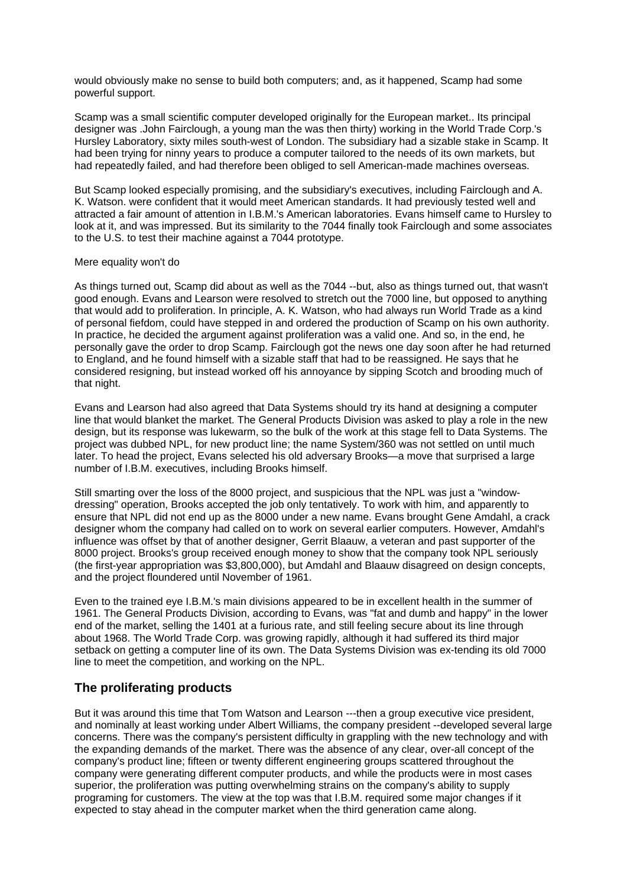would obviously make no sense to build both computers; and, as it happened, Scamp had some powerful support.

Scamp was a small scientific computer developed originally for the European market.. Its principal designer was .John Fairclough, a young man the was then thirty) working in the World Trade Corp.'s Hursley Laboratory, sixty miles south-west of London. The subsidiary had a sizable stake in Scamp. It had been trying for ninny years to produce a computer tailored to the needs of its own markets, but had repeatedly failed, and had therefore been obliged to sell American-made machines overseas.

But Scamp looked especially promising, and the subsidiary's executives, including Fairclough and A. K. Watson. were confident that it would meet American standards. It had previously tested well and attracted a fair amount of attention in I.B.M.'s American laboratories. Evans himself came to Hursley to look at it, and was impressed. But its similarity to the 7044 finally took Fairclough and some associates to the U.S. to test their machine against a 7044 prototype.

#### Mere equality won't do

As things turned out, Scamp did about as well as the 7044 --but, also as things turned out, that wasn't good enough. Evans and Learson were resolved to stretch out the 7000 line, but opposed to anything that would add to proliferation. In principle, A. K. Watson, who had always run World Trade as a kind of personal fiefdom, could have stepped in and ordered the production of Scamp on his own authority. In practice, he decided the argument against proliferation was a valid one. And so, in the end, he personally gave the order to drop Scamp. Fairclough got the news one day soon after he had returned to England, and he found himself with a sizable staff that had to be reassigned. He says that he considered resigning, but instead worked off his annoyance by sipping Scotch and brooding much of that night.

Evans and Learson had also agreed that Data Systems should try its hand at designing a computer line that would blanket the market. The General Products Division was asked to play a role in the new design, but its response was lukewarm, so the bulk of the work at this stage fell to Data Systems. The project was dubbed NPL, for new product line; the name System/360 was not settled on until much later. To head the project, Evans selected his old adversary Brooks—a move that surprised a large number of I.B.M. executives, including Brooks himself.

Still smarting over the loss of the 8000 project, and suspicious that the NPL was just a "windowdressing" operation, Brooks accepted the job only tentatively. To work with him, and apparently to ensure that NPL did not end up as the 8000 under a new name. Evans brought Gene Amdahl, a crack designer whom the company had called on to work on several earlier computers. However, Amdahl's influence was offset by that of another designer, Gerrit Blaauw, a veteran and past supporter of the 8000 project. Brooks's group received enough money to show that the company took NPL seriously (the first-year appropriation was \$3,800,000), but Amdahl and Blaauw disagreed on design concepts, and the project floundered until November of 1961.

Even to the trained eye I.B.M.'s main divisions appeared to be in excellent health in the summer of 1961. The General Products Division, according to Evans, was "fat and dumb and happy" in the lower end of the market, selling the 1401 at a furious rate, and still feeling secure about its line through about 1968. The World Trade Corp. was growing rapidly, although it had suffered its third major setback on getting a computer line of its own. The Data Systems Division was ex-tending its old 7000 line to meet the competition, and working on the NPL.

#### **The proliferating products**

But it was around this time that Tom Watson and Learson ---then a group executive vice president, and nominally at least working under Albert Williams, the company president --developed several large concerns. There was the company's persistent difficulty in grappling with the new technology and with the expanding demands of the market. There was the absence of any clear, over-all concept of the company's product line; fifteen or twenty different engineering groups scattered throughout the company were generating different computer products, and while the products were in most cases superior, the proliferation was putting overwhelming strains on the company's ability to supply programing for customers. The view at the top was that I.B.M. required some major changes if it expected to stay ahead in the computer market when the third generation came along.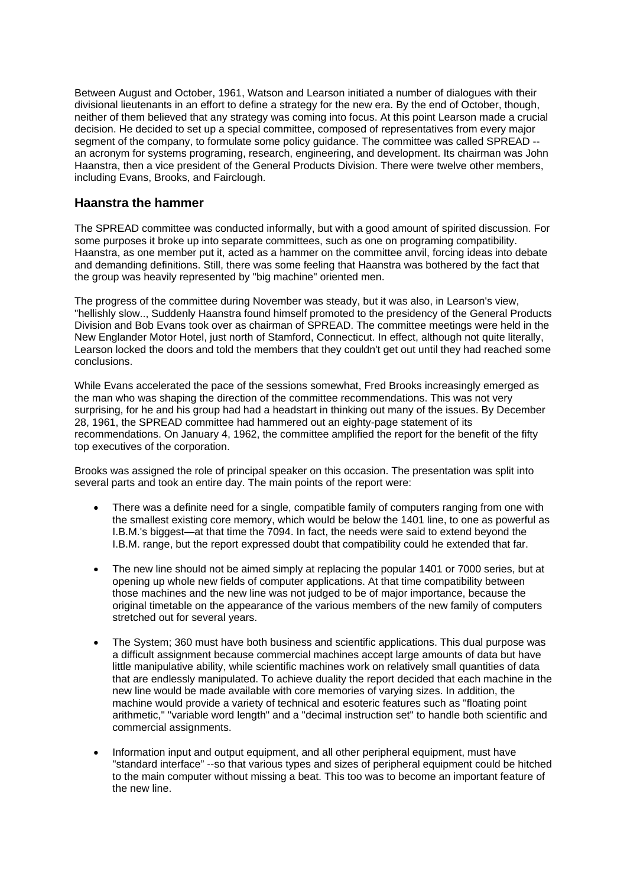Between August and October, 1961, Watson and Learson initiated a number of dialogues with their divisional lieutenants in an effort to define a strategy for the new era. By the end of October, though, neither of them believed that any strategy was coming into focus. At this point Learson made a crucial decision. He decided to set up a special committee, composed of representatives from every major segment of the company, to formulate some policy guidance. The committee was called SPREAD -an acronym for systems programing, research, engineering, and development. Its chairman was John Haanstra, then a vice president of the General Products Division. There were twelve other members, including Evans, Brooks, and Fairclough.

#### **Haanstra the hammer**

The SPREAD committee was conducted informally, but with a good amount of spirited discussion. For some purposes it broke up into separate committees, such as one on programing compatibility. Haanstra, as one member put it, acted as a hammer on the committee anvil, forcing ideas into debate and demanding definitions. Still, there was some feeling that Haanstra was bothered by the fact that the group was heavily represented by "big machine" oriented men.

The progress of the committee during November was steady, but it was also, in Learson's view, "hellishly slow.., Suddenly Haanstra found himself promoted to the presidency of the General Products Division and Bob Evans took over as chairman of SPREAD. The committee meetings were held in the New Englander Motor Hotel, just north of Stamford, Connecticut. In effect, although not quite literally, Learson locked the doors and told the members that they couldn't get out until they had reached some conclusions.

While Evans accelerated the pace of the sessions somewhat, Fred Brooks increasingly emerged as the man who was shaping the direction of the committee recommendations. This was not very surprising, for he and his group had had a headstart in thinking out many of the issues. By December 28, 1961, the SPREAD committee had hammered out an eighty-page statement of its recommendations. On January 4, 1962, the committee amplified the report for the benefit of the fifty top executives of the corporation.

Brooks was assigned the role of principal speaker on this occasion. The presentation was split into several parts and took an entire day. The main points of the report were:

- There was a definite need for a single, compatible family of computers ranging from one with the smallest existing core memory, which would be below the 1401 line, to one as powerful as I.B.M.'s biggest—at that time the 7094. In fact, the needs were said to extend beyond the I.B.M. range, but the report expressed doubt that compatibility could he extended that far.
- The new line should not be aimed simply at replacing the popular 1401 or 7000 series, but at opening up whole new fields of computer applications. At that time compatibility between those machines and the new line was not judged to be of major importance, because the original timetable on the appearance of the various members of the new family of computers stretched out for several years.
- The System; 360 must have both business and scientific applications. This dual purpose was a difficult assignment because commercial machines accept large amounts of data but have little manipulative ability, while scientific machines work on relatively small quantities of data that are endlessly manipulated. To achieve duality the report decided that each machine in the new line would be made available with core memories of varying sizes. In addition, the machine would provide a variety of technical and esoteric features such as "floating point arithmetic," "variable word length" and a "decimal instruction set" to handle both scientific and commercial assignments.
- Information input and output equipment, and all other peripheral equipment, must have "standard interface" --so that various types and sizes of peripheral equipment could be hitched to the main computer without missing a beat. This too was to become an important feature of the new line.